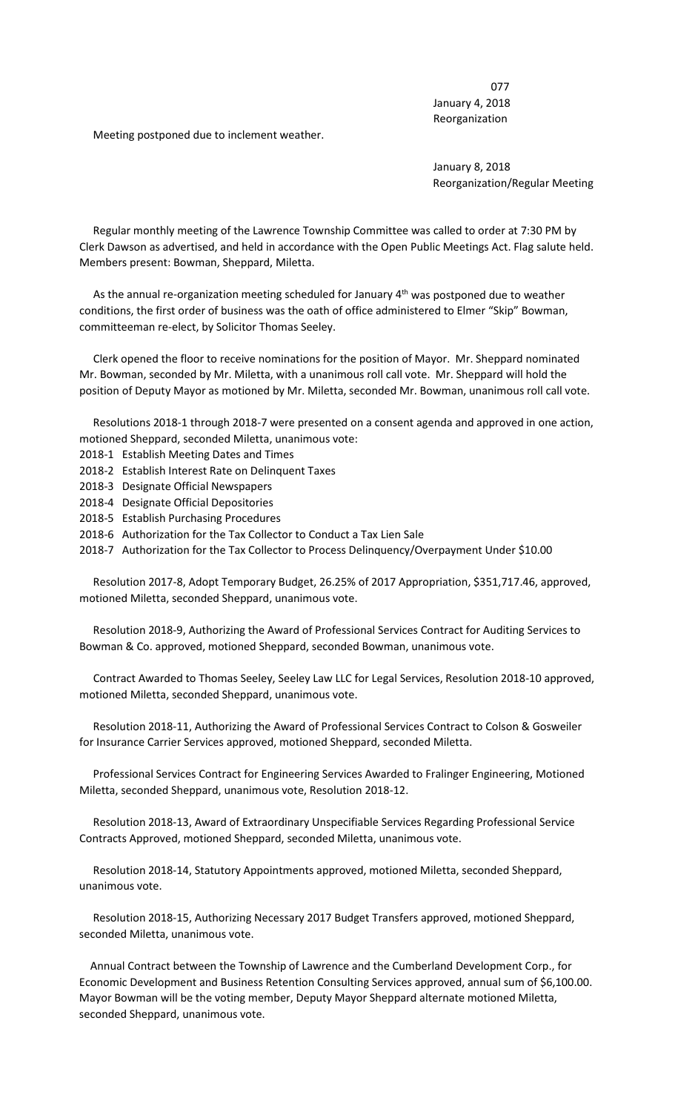077 January 4, 2018 Reorganization

Meeting postponed due to inclement weather.

 January 8, 2018 Reorganization/Regular Meeting

 Regular monthly meeting of the Lawrence Township Committee was called to order at 7:30 PM by Clerk Dawson as advertised, and held in accordance with the Open Public Meetings Act. Flag salute held. Members present: Bowman, Sheppard, Miletta.

As the annual re-organization meeting scheduled for January 4<sup>th</sup> was postponed due to weather conditions, the first order of business was the oath of office administered to Elmer "Skip" Bowman, committeeman re-elect, by Solicitor Thomas Seeley.

 Clerk opened the floor to receive nominations for the position of Mayor. Mr. Sheppard nominated Mr. Bowman, seconded by Mr. Miletta, with a unanimous roll call vote. Mr. Sheppard will hold the position of Deputy Mayor as motioned by Mr. Miletta, seconded Mr. Bowman, unanimous roll call vote.

 Resolutions 2018-1 through 2018-7 were presented on a consent agenda and approved in one action, motioned Sheppard, seconded Miletta, unanimous vote:

- 2018-1 Establish Meeting Dates and Times
- 2018-2 Establish Interest Rate on Delinquent Taxes
- 2018-3 Designate Official Newspapers
- 2018-4 Designate Official Depositories
- 2018-5 Establish Purchasing Procedures

2018-6 Authorization for the Tax Collector to Conduct a Tax Lien Sale

2018-7 Authorization for the Tax Collector to Process Delinquency/Overpayment Under \$10.00

 Resolution 2017-8, Adopt Temporary Budget, 26.25% of 2017 Appropriation, \$351,717.46, approved, motioned Miletta, seconded Sheppard, unanimous vote.

 Resolution 2018-9, Authorizing the Award of Professional Services Contract for Auditing Services to Bowman & Co. approved, motioned Sheppard, seconded Bowman, unanimous vote.

 Contract Awarded to Thomas Seeley, Seeley Law LLC for Legal Services, Resolution 2018-10 approved, motioned Miletta, seconded Sheppard, unanimous vote.

 Resolution 2018-11, Authorizing the Award of Professional Services Contract to Colson & Gosweiler for Insurance Carrier Services approved, motioned Sheppard, seconded Miletta.

 Professional Services Contract for Engineering Services Awarded to Fralinger Engineering, Motioned Miletta, seconded Sheppard, unanimous vote, Resolution 2018-12.

 Resolution 2018-13, Award of Extraordinary Unspecifiable Services Regarding Professional Service Contracts Approved, motioned Sheppard, seconded Miletta, unanimous vote.

 Resolution 2018-14, Statutory Appointments approved, motioned Miletta, seconded Sheppard, unanimous vote.

 Resolution 2018-15, Authorizing Necessary 2017 Budget Transfers approved, motioned Sheppard, seconded Miletta, unanimous vote.

 Annual Contract between the Township of Lawrence and the Cumberland Development Corp., for Economic Development and Business Retention Consulting Services approved, annual sum of \$6,100.00. Mayor Bowman will be the voting member, Deputy Mayor Sheppard alternate motioned Miletta, seconded Sheppard, unanimous vote.